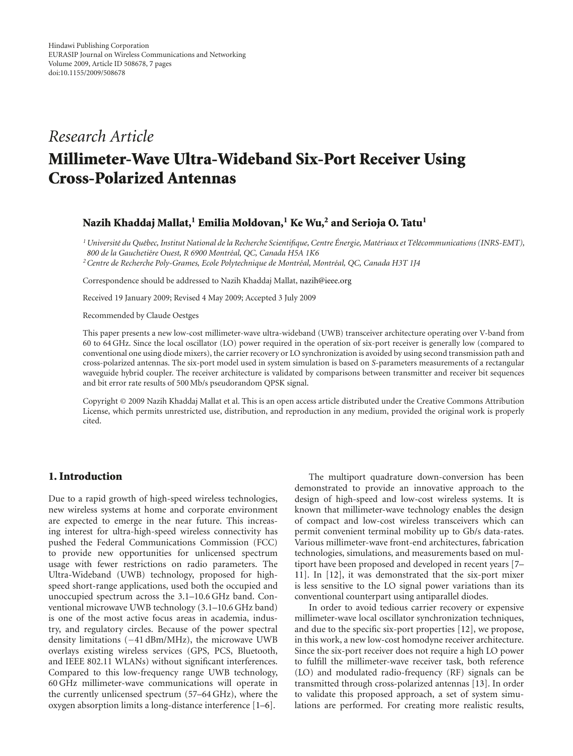# *Research Article* **Millimeter-Wave Ultra-Wideband Six-Port Receiver Using Cross-Polarized Antennas**

#### **Nazih Khaddaj Mallat,1 Emilia Moldovan,1 Ke Wu,2 and Serioja O. Tatu1**

*1Universit´e du Qu´ebec, Institut National de la Recherche Scientifique, Centre Energie, Mat ´ ´eriaux et T´el´ecommunications (INRS-EMT), 800 de la Gaucheti´ere Ouest, R 6900 Montr´eal, QC, Canada H5A 1K6*

<sup>2</sup> Centre de Recherche Poly-Grames, Ecole Polytechnique de Montréal, Montréal, QC, Canada H3T 1J4

Correspondence should be addressed to Nazih Khaddaj Mallat, nazih@ieee.org

Received 19 January 2009; Revised 4 May 2009; Accepted 3 July 2009

Recommended by Claude Oestges

This paper presents a new low-cost millimeter-wave ultra-wideband (UWB) transceiver architecture operating over V-band from 60 to 64 GHz. Since the local oscillator (LO) power required in the operation of six-port receiver is generally low (compared to conventional one using diode mixers), the carrier recovery or LO synchronization is avoided by using second transmission path and cross-polarized antennas. The six-port model used in system simulation is based on *S*-parameters measurements of a rectangular waveguide hybrid coupler. The receiver architecture is validated by comparisons between transmitter and receiver bit sequences and bit error rate results of 500 Mb/s pseudorandom QPSK signal.

Copyright © 2009 Nazih Khaddaj Mallat et al. This is an open access article distributed under the Creative Commons Attribution License, which permits unrestricted use, distribution, and reproduction in any medium, provided the original work is properly cited.

### **1. Introduction**

Due to a rapid growth of high-speed wireless technologies, new wireless systems at home and corporate environment are expected to emerge in the near future. This increasing interest for ultra-high-speed wireless connectivity has pushed the Federal Communications Commission (FCC) to provide new opportunities for unlicensed spectrum usage with fewer restrictions on radio parameters. The Ultra-Wideband (UWB) technology, proposed for highspeed short-range applications, used both the occupied and unoccupied spectrum across the 3.1–10.6 GHz band. Conventional microwave UWB technology (3.1–10.6 GHz band) is one of the most active focus areas in academia, industry, and regulatory circles. Because of the power spectral density limitations (−41 dBm/MHz), the microwave UWB overlays existing wireless services (GPS, PCS, Bluetooth, and IEEE 802.11 WLANs) without significant interferences. Compared to this low-frequency range UWB technology, 60 GHz millimeter-wave communications will operate in the currently unlicensed spectrum (57–64 GHz), where the oxygen absorption limits a long-distance interference [1–6].

The multiport quadrature down-conversion has been demonstrated to provide an innovative approach to the design of high-speed and low-cost wireless systems. It is known that millimeter-wave technology enables the design of compact and low-cost wireless transceivers which can permit convenient terminal mobility up to Gb/s data-rates. Various millimeter-wave front-end architectures, fabrication technologies, simulations, and measurements based on multiport have been proposed and developed in recent years [7– 11]. In [12], it was demonstrated that the six-port mixer is less sensitive to the LO signal power variations than its conventional counterpart using antiparallel diodes.

In order to avoid tedious carrier recovery or expensive millimeter-wave local oscillator synchronization techniques, and due to the specific six-port properties [12], we propose, in this work, a new low-cost homodyne receiver architecture. Since the six-port receiver does not require a high LO power to fulfill the millimeter-wave receiver task, both reference (LO) and modulated radio-frequency (RF) signals can be transmitted through cross-polarized antennas [13]. In order to validate this proposed approach, a set of system simulations are performed. For creating more realistic results,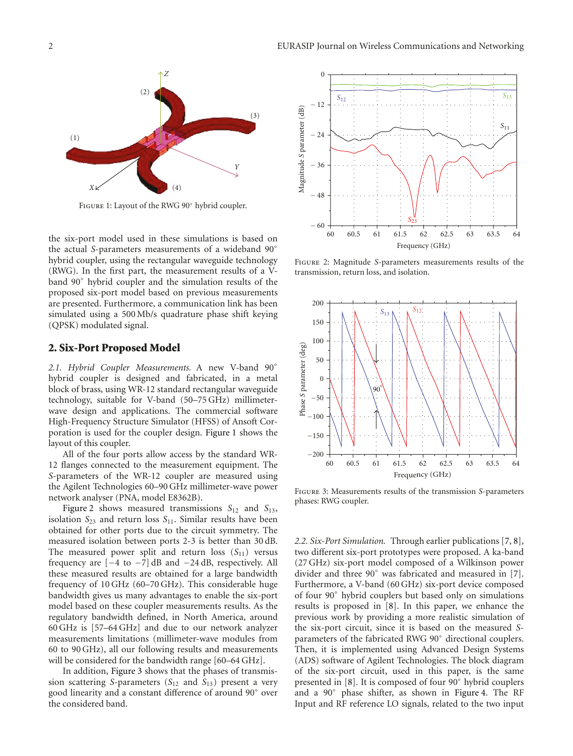

Figure 1: Layout of the RWG 90◦ hybrid coupler.

the six-port model used in these simulations is based on the actual *S*-parameters measurements of a wideband 90◦ hybrid coupler, using the rectangular waveguide technology (RWG). In the first part, the measurement results of a Vband 90◦ hybrid coupler and the simulation results of the proposed six-port model based on previous measurements are presented. Furthermore, a communication link has been simulated using a 500 Mb/s quadrature phase shift keying (QPSK) modulated signal.

#### **2. Six-Port Proposed Model**

*2.1. Hybrid Coupler Measurements.* A new V-band 90◦ hybrid coupler is designed and fabricated, in a metal block of brass, using WR-12 standard rectangular waveguide technology, suitable for V-band (50–75 GHz) millimeterwave design and applications. The commercial software High-Frequency Structure Simulator (HFSS) of Ansoft Corporation is used for the coupler design. Figure 1 shows the layout of this coupler.

All of the four ports allow access by the standard WR-12 flanges connected to the measurement equipment. The *S*-parameters of the WR-12 coupler are measured using the Agilent Technologies 60–90 GHz millimeter-wave power network analyser (PNA, model E8362B).

Figure 2 shows measured transmissions  $S_{12}$  and  $S_{13}$ , isolation *S*<sup>23</sup> and return loss *S*11. Similar results have been obtained for other ports due to the circuit symmetry. The measured isolation between ports 2-3 is better than 30 dB. The measured power split and return loss  $(S_{11})$  versus frequency are  $[-4 \text{ to } -7]$  dB and  $-24$  dB, respectively. All these measured results are obtained for a large bandwidth frequency of 10 GHz (60–70 GHz). This considerable huge bandwidth gives us many advantages to enable the six-port model based on these coupler measurements results. As the regulatory bandwidth defined, in North America, around 60 GHz is [57–64 GHz] and due to our network analyzer measurements limitations (millimeter-wave modules from 60 to 90 GHz), all our following results and measurements will be considered for the bandwidth range [60–64 GHz].

In addition, Figure 3 shows that the phases of transmission scattering *S*-parameters (*S*<sup>12</sup> and *S*13) present a very good linearity and a constant difference of around 90◦ over the considered band.



Figure 2: Magnitude *S*-parameters measurements results of the transmission, return loss, and isolation.



Figure 3: Measurements results of the transmission *S*-parameters phases: RWG coupler.

*2.2. Six-Port Simulation.* Through earlier publications [7, 8], two different six-port prototypes were proposed. A ka-band (27 GHz) six-port model composed of a Wilkinson power divider and three 90◦ was fabricated and measured in [7]. Furthermore, a V-band (60 GHz) six-port device composed of four 90◦ hybrid couplers but based only on simulations results is proposed in [8]. In this paper, we enhance the previous work by providing a more realistic simulation of the six-port circuit, since it is based on the measured *S*parameters of the fabricated RWG 90◦ directional couplers. Then, it is implemented using Advanced Design Systems (ADS) software of Agilent Technologies. The block diagram of the six-port circuit, used in this paper, is the same presented in [8]. It is composed of four 90◦ hybrid couplers and a 90◦ phase shifter, as shown in Figure 4. The RF Input and RF reference LO signals, related to the two input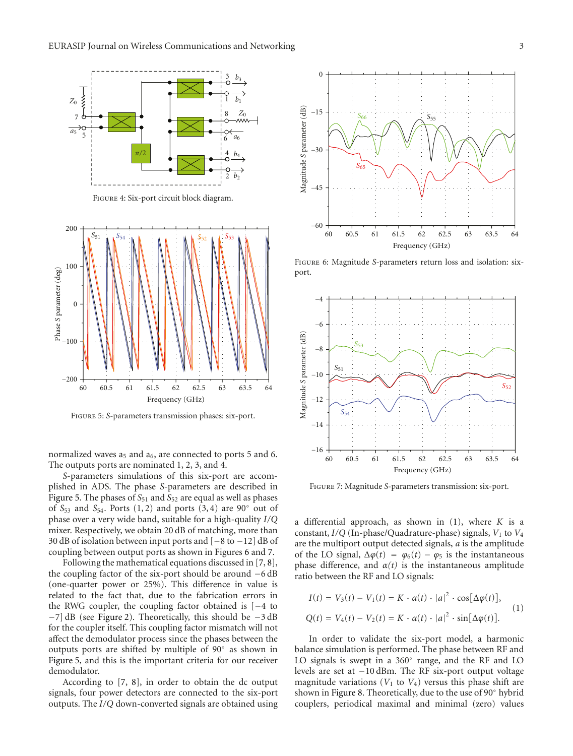

Figure 4: Six-port circuit block diagram.



Figure 5: *S*-parameters transmission phases: six-port.

normalized waves  $a_5$  and  $a_6$ , are connected to ports 5 and 6. The outputs ports are nominated 1, 2, 3, and 4.

*S*-parameters simulations of this six-port are accomplished in ADS. The phase *S*-parameters are described in Figure 5. The phases of  $S_{51}$  and  $S_{52}$  are equal as well as phases of *S*<sup>53</sup> and *S*54. Ports (1, 2) and ports (3, 4) are 90◦ out of phase over a very wide band, suitable for a high-quality *I/Q* mixer. Respectively, we obtain 20 dB of matching, more than 30 dB of isolation between input ports and [−8 to −12] dB of coupling between output ports as shown in Figures 6 and 7.

Following the mathematical equations discussed in [7, 8], the coupling factor of the six-port should be around −6 dB (one-quarter power or 25%). This difference in value is related to the fact that, due to the fabrication errors in the RWG coupler, the coupling factor obtained is [−4 to −7] dB (see Figure 2). Theoretically, this should be −3 dB for the coupler itself. This coupling factor mismatch will not affect the demodulator process since the phases between the outputs ports are shifted by multiple of 90◦ as shown in Figure 5, and this is the important criteria for our receiver demodulator.

According to [7, 8], in order to obtain the dc output signals, four power detectors are connected to the six-port outputs. The *I/Q* down-converted signals are obtained using



Figure 6: Magnitude *S*-parameters return loss and isolation: sixport.



Figure 7: Magnitude *S*-parameters transmission: six-port.

a differential approach, as shown in (1), where *K* is a constant,  $I/Q$  (In-phase/Quadrature-phase) signals,  $V_1$  to  $V_4$ are the multiport output detected signals, *a* is the amplitude of the LO signal,  $\Delta \varphi(t) = \varphi_6(t) - \varphi_5$  is the instantaneous phase difference, and  $α(t)$  is the instantaneous amplitude ratio between the RF and LO signals:

$$
I(t) = V_3(t) - V_1(t) = K \cdot \alpha(t) \cdot |a|^2 \cdot \cos[\Delta \varphi(t)],
$$
  
\n
$$
Q(t) = V_4(t) - V_2(t) = K \cdot \alpha(t) \cdot |a|^2 \cdot \sin[\Delta \varphi(t)].
$$
\n(1)

In order to validate the six-port model, a harmonic balance simulation is performed. The phase between RF and LO signals is swept in a 360◦ range, and the RF and LO levels are set at −10 dBm. The RF six-port output voltage magnitude variations ( $V_1$  to  $V_4$ ) versus this phase shift are shown in Figure 8. Theoretically, due to the use of 90◦ hybrid couplers, periodical maximal and minimal (zero) values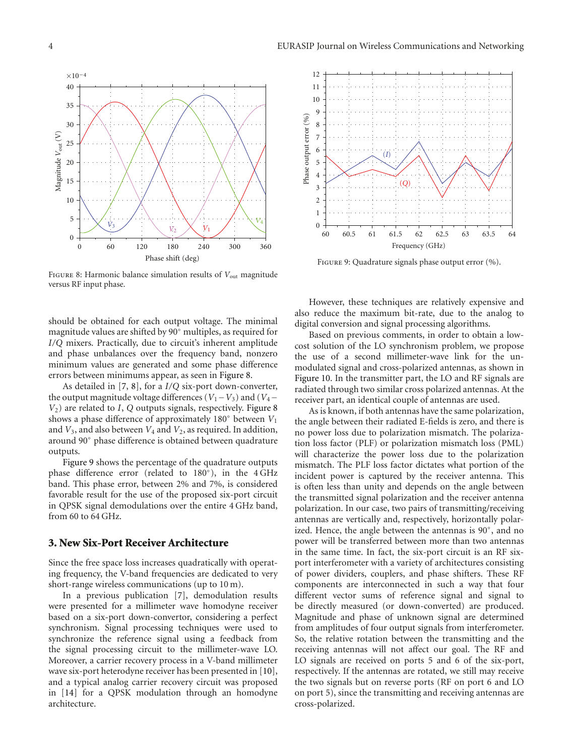

FIGURE 8: Harmonic balance simulation results of  $V_{\text{out}}$  magnitude versus RF input phase.

should be obtained for each output voltage. The minimal magnitude values are shifted by 90◦ multiples, as required for *I/Q* mixers. Practically, due to circuit's inherent amplitude and phase unbalances over the frequency band, nonzero minimum values are generated and some phase difference errors between minimums appear, as seen in Figure 8.

As detailed in [7, 8], for a *I/Q* six-port down-converter, the output magnitude voltage differences ( $V_1 - V_3$ ) and ( $V_4$ − *V*2) are related to *I*, *Q* outputs signals, respectively. Figure 8 shows a phase difference of approximately 180◦ between *V*<sup>1</sup> and *V*3, and also between *V*<sup>4</sup> and *V*2, as required. In addition, around 90◦ phase difference is obtained between quadrature outputs.

Figure 9 shows the percentage of the quadrature outputs phase difference error (related to 180◦), in the 4 GHz band. This phase error, between 2% and 7%, is considered favorable result for the use of the proposed six-port circuit in QPSK signal demodulations over the entire 4 GHz band, from 60 to 64 GHz.

#### **3. New Six-Port Receiver Architecture**

Since the free space loss increases quadratically with operating frequency, the V-band frequencies are dedicated to very short-range wireless communications (up to 10 m).

In a previous publication [7], demodulation results were presented for a millimeter wave homodyne receiver based on a six-port down-convertor, considering a perfect synchronism. Signal processing techniques were used to synchronize the reference signal using a feedback from the signal processing circuit to the millimeter-wave LO. Moreover, a carrier recovery process in a V-band millimeter wave six-port heterodyne receiver has been presented in [10], and a typical analog carrier recovery circuit was proposed in [14] for a QPSK modulation through an homodyne architecture.



FIGURE 9: Quadrature signals phase output error (%).

However, these techniques are relatively expensive and also reduce the maximum bit-rate, due to the analog to digital conversion and signal processing algorithms.

Based on previous comments, in order to obtain a lowcost solution of the LO synchronism problem, we propose the use of a second millimeter-wave link for the unmodulated signal and cross-polarized antennas, as shown in Figure 10. In the transmitter part, the LO and RF signals are radiated through two similar cross polarized antennas. At the receiver part, an identical couple of antennas are used.

As is known, if both antennas have the same polarization, the angle between their radiated E-fields is zero, and there is no power loss due to polarization mismatch. The polarization loss factor (PLF) or polarization mismatch loss (PML) will characterize the power loss due to the polarization mismatch. The PLF loss factor dictates what portion of the incident power is captured by the receiver antenna. This is often less than unity and depends on the angle between the transmitted signal polarization and the receiver antenna polarization. In our case, two pairs of transmitting/receiving antennas are vertically and, respectively, horizontally polarized. Hence, the angle between the antennas is 90◦, and no power will be transferred between more than two antennas in the same time. In fact, the six-port circuit is an RF sixport interferometer with a variety of architectures consisting of power dividers, couplers, and phase shifters. These RF components are interconnected in such a way that four different vector sums of reference signal and signal to be directly measured (or down-converted) are produced. Magnitude and phase of unknown signal are determined from amplitudes of four output signals from interferometer. So, the relative rotation between the transmitting and the receiving antennas will not affect our goal. The RF and LO signals are received on ports 5 and 6 of the six-port, respectively. If the antennas are rotated, we still may receive the two signals but on reverse ports (RF on port 6 and LO on port 5), since the transmitting and receiving antennas are cross-polarized.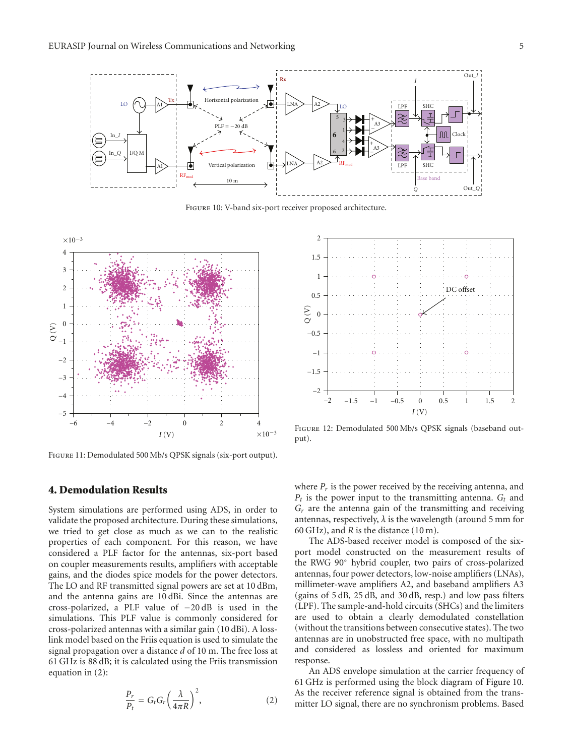

Figure 10: V-band six-port receiver proposed architecture.



Figure 11: Demodulated 500 Mb/s QPSK signals (six-port output).

# **4. Demodulation Results**

System simulations are performed using ADS, in order to validate the proposed architecture. During these simulations, we tried to get close as much as we can to the realistic properties of each component. For this reason, we have considered a PLF factor for the antennas, six-port based on coupler measurements results, amplifiers with acceptable gains, and the diodes spice models for the power detectors. The LO and RF transmitted signal powers are set at 10 dBm, and the antenna gains are 10 dBi. Since the antennas are cross-polarized, a PLF value of −20 dB is used in the simulations. This PLF value is commonly considered for cross-polarized antennas with a similar gain (10 dBi). A losslink model based on the Friis equation is used to simulate the signal propagation over a distance *d* of 10 m. The free loss at 61 GHz is 88 dB; it is calculated using the Friis transmission equation in (2):

$$
\frac{P_r}{P_t} = G_t G_r \left(\frac{\lambda}{4\pi R}\right)^2,\tag{2}
$$



FIGURE 12: Demodulated 500 Mb/s QPSK signals (baseband output).

where  $P_r$  is the power received by the receiving antenna, and  $P_t$  is the power input to the transmitting antenna.  $G_t$  and *Gr* are the antenna gain of the transmitting and receiving antennas, respectively,  $\lambda$  is the wavelength (around 5 mm for 60 GHz), and *R* is the distance (10 m).

The ADS-based receiver model is composed of the sixport model constructed on the measurement results of the RWG 90◦ hybrid coupler, two pairs of cross-polarized antennas, four power detectors, low-noise amplifiers (LNAs), millimeter-wave amplifiers A2, and baseband amplifiers A3 (gains of 5 dB, 25 dB, and 30 dB, resp.) and low pass filters (LPF). The sample-and-hold circuits (SHCs) and the limiters are used to obtain a clearly demodulated constellation (without the transitions between consecutive states). The two antennas are in unobstructed free space, with no multipath and considered as lossless and oriented for maximum response.

An ADS envelope simulation at the carrier frequency of 61 GHz is performed using the block diagram of Figure 10. As the receiver reference signal is obtained from the transmitter LO signal, there are no synchronism problems. Based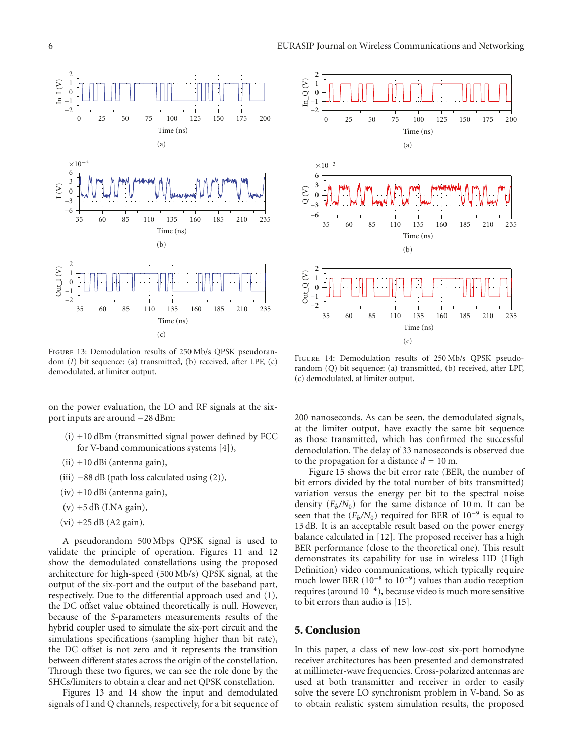

Figure 13: Demodulation results of 250 Mb/s QPSK pseudorandom (*I*) bit sequence: (a) transmitted, (b) received, after LPF, (c) demodulated, at limiter output.

on the power evaluation, the LO and RF signals at the sixport inputs are around −28 dBm:

- $(i) +10$  dBm (transmitted signal power defined by FCC for V-band communications systems [4]),
- (ii) +10 dBi (antenna gain),
- (iii)  $-88$  dB (path loss calculated using  $(2)$ ),
- (iv) +10 dBi (antenna gain),
- $(v)$  +5 dB (LNA gain),
- (vi) +25 dB (A2 gain).

A pseudorandom 500 Mbps QPSK signal is used to validate the principle of operation. Figures 11 and 12 show the demodulated constellations using the proposed architecture for high-speed (500 Mb/s) QPSK signal, at the output of the six-port and the output of the baseband part, respectively. Due to the differential approach used and (1), the DC offset value obtained theoretically is null. However, because of the *S*-parameters measurements results of the hybrid coupler used to simulate the six-port circuit and the simulations specifications (sampling higher than bit rate), the DC offset is not zero and it represents the transition between different states across the origin of the constellation. Through these two figures, we can see the role done by the SHCs/limiters to obtain a clear and net QPSK constellation.

Figures 13 and 14 show the input and demodulated signals of I and Q channels, respectively, for a bit sequence of



Figure 14: Demodulation results of 250 Mb/s QPSK pseudorandom (*Q*) bit sequence: (a) transmitted, (b) received, after LPF, (c) demodulated, at limiter output.

200 nanoseconds. As can be seen, the demodulated signals, at the limiter output, have exactly the same bit sequence as those transmitted, which has confirmed the successful demodulation. The delay of 33 nanoseconds is observed due to the propagation for a distance  $d = 10$  m.

Figure 15 shows the bit error rate (BER, the number of bit errors divided by the total number of bits transmitted) variation versus the energy per bit to the spectral noise density  $(E_b/N_0)$  for the same distance of 10 m. It can be seen that the  $(E_b/N_0)$  required for BER of 10<sup>-9</sup> is equal to 13 dB. It is an acceptable result based on the power energy balance calculated in [12]. The proposed receiver has a high BER performance (close to the theoretical one). This result demonstrates its capability for use in wireless HD (High Definition) video communications, which typically require much lower BER (10−<sup>8</sup> to 10−9) values than audio reception requires (around 10−4), because video is much more sensitive to bit errors than audio is [15].

# **5. Conclusion**

In this paper, a class of new low-cost six-port homodyne receiver architectures has been presented and demonstrated at millimeter-wave frequencies. Cross-polarized antennas are used at both transmitter and receiver in order to easily solve the severe LO synchronism problem in V-band. So as to obtain realistic system simulation results, the proposed